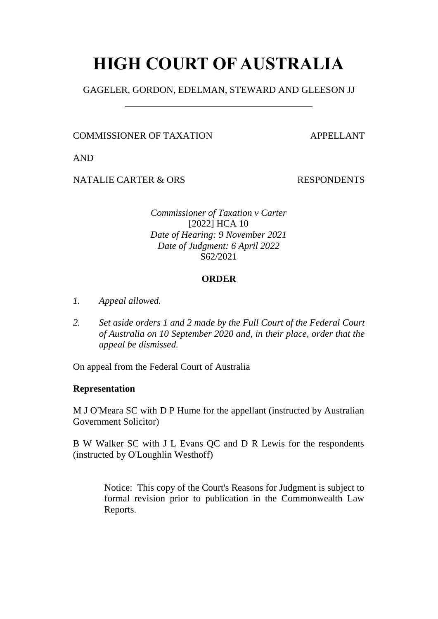# **HIGH COURT OF AUSTRALIA**

GAGELER, GORDON, EDELMAN, STEWARD AND GLEESON JJ

COMMISSIONER OF TAXATION APPELLANT

AND

NATALIE CARTER & ORS
and the set of the set of the set of the set of the set of the set of the set of the set of the set of the set of the set of the set of the set of the set of the set of the set of the set of the set of

*Commissioner of Taxation v Carter* [2022] HCA 10 *Date of Hearing: 9 November 2021 Date of Judgment: 6 April 2022* S62/2021

## **ORDER**

- *1. Appeal allowed.*
- *2. Set aside orders 1 and 2 made by the Full Court of the Federal Court of Australia on 10 September 2020 and, in their place, order that the appeal be dismissed.*

On appeal from the Federal Court of Australia

## **Representation**

M J O'Meara SC with D P Hume for the appellant (instructed by Australian Government Solicitor)

B W Walker SC with J L Evans QC and D R Lewis for the respondents (instructed by O'Loughlin Westhoff)

> Notice: This copy of the Court's Reasons for Judgment is subject to formal revision prior to publication in the Commonwealth Law Reports.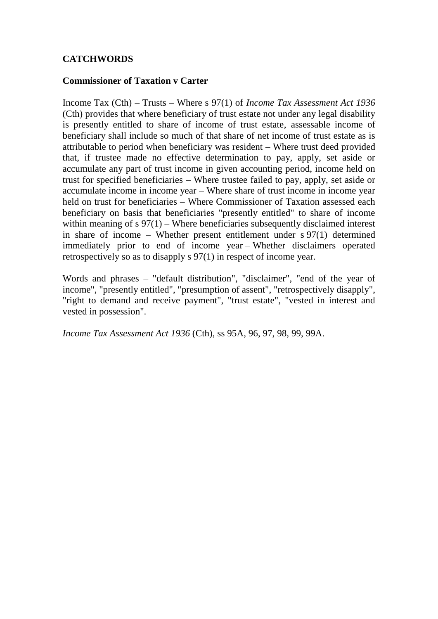## **CATCHWORDS**

## **Commissioner of Taxation v Carter**

Income Tax (Cth) – Trusts – Where s 97(1) of *Income Tax Assessment Act 1936*  (Cth) provides that where beneficiary of trust estate not under any legal disability is presently entitled to share of income of trust estate, assessable income of beneficiary shall include so much of that share of net income of trust estate as is attributable to period when beneficiary was resident – Where trust deed provided that, if trustee made no effective determination to pay, apply, set aside or accumulate any part of trust income in given accounting period, income held on trust for specified beneficiaries – Where trustee failed to pay, apply, set aside or accumulate income in income year – Where share of trust income in income year held on trust for beneficiaries – Where Commissioner of Taxation assessed each beneficiary on basis that beneficiaries "presently entitled" to share of income within meaning of s 97(1) – Where beneficiaries subsequently disclaimed interest in share of income – Whether present entitlement under s 97(1) determined immediately prior to end of income year – Whether disclaimers operated retrospectively so as to disapply s 97(1) in respect of income year.

Words and phrases – "default distribution", "disclaimer", "end of the year of income", "presently entitled", "presumption of assent", "retrospectively disapply", "right to demand and receive payment", "trust estate", "vested in interest and vested in possession".

*Income Tax Assessment Act 1936* (Cth), ss 95A, 96, 97, 98, 99, 99A.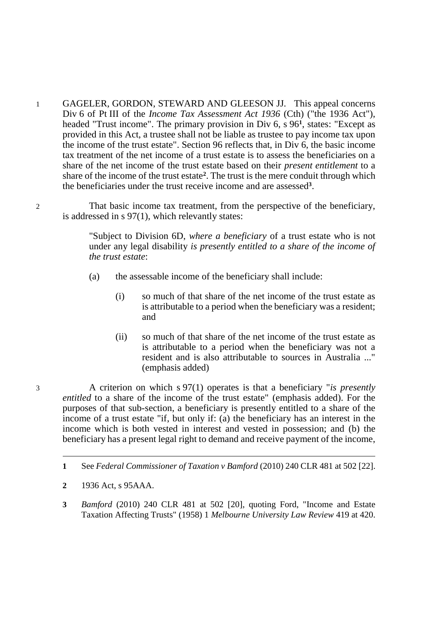1 GAGELER, GORDON, STEWARD AND GLEESON JJ. This appeal concerns Div 6 of Pt III of the *Income Tax Assessment Act 1936* (Cth) ("the 1936 Act"), headed "Trust income". The primary provision in Div 6, s 96<sup>1</sup>, states: "Except as provided in this Act, a trustee shall not be liable as trustee to pay income tax upon the income of the trust estate". Section 96 reflects that, in Div 6, the basic income tax treatment of the net income of a trust estate is to assess the beneficiaries on a share of the net income of the trust estate based on their *present entitlement* to a share of the income of the trust estate**<sup>2</sup>** . The trust is the mere conduit through which the beneficiaries under the trust receive income and are assessed**<sup>3</sup>** .

2 That basic income tax treatment, from the perspective of the beneficiary, is addressed in s 97(1), which relevantly states:

> "Subject to Division 6D, *where a beneficiary* of a trust estate who is not under any legal disability *is presently entitled to a share of the income of the trust estate*:

- (a) the assessable income of the beneficiary shall include:
	- (i) so much of that share of the net income of the trust estate as is attributable to a period when the beneficiary was a resident; and
	- (ii) so much of that share of the net income of the trust estate as is attributable to a period when the beneficiary was not a resident and is also attributable to sources in Australia ..." (emphasis added)

3 A criterion on which s 97(1) operates is that a beneficiary "*is presently entitled* to a share of the income of the trust estate" (emphasis added). For the purposes of that sub-section, a beneficiary is presently entitled to a share of the income of a trust estate "if, but only if: (a) the beneficiary has an interest in the income which is both vested in interest and vested in possession; and (b) the beneficiary has a present legal right to demand and receive payment of the income,

-

**3** *Bamford* (2010) 240 CLR 481 at 502 [20], quoting Ford, "Income and Estate Taxation Affecting Trusts" (1958) 1 *Melbourne University Law Review* 419 at 420.

**<sup>1</sup>** See *Federal Commissioner of Taxation v Bamford* (2010) 240 CLR 481 at 502 [22].

**<sup>2</sup>** 1936 Act, s 95AAA.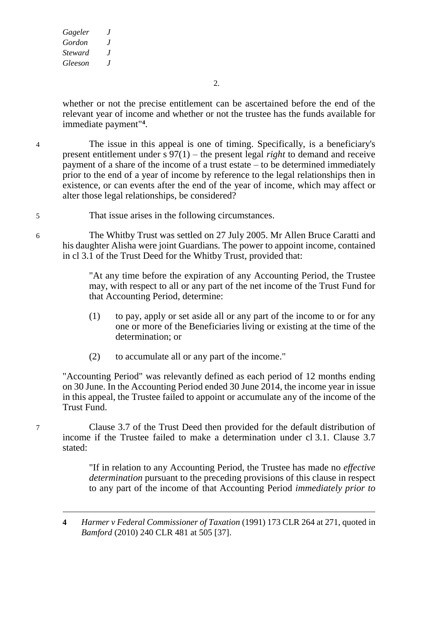-

2.

whether or not the precise entitlement can be ascertained before the end of the relevant year of income and whether or not the trustee has the funds available for immediate payment"**<sup>4</sup>** .

4 The issue in this appeal is one of timing. Specifically, is a beneficiary's present entitlement under s 97(1) – the present legal *right* to demand and receive payment of a share of the income of a trust estate – to be determined immediately prior to the end of a year of income by reference to the legal relationships then in existence, or can events after the end of the year of income, which may affect or alter those legal relationships, be considered?

5 That issue arises in the following circumstances.

6 The Whitby Trust was settled on 27 July 2005. Mr Allen Bruce Caratti and his daughter Alisha were joint Guardians. The power to appoint income, contained in cl 3.1 of the Trust Deed for the Whitby Trust, provided that:

> "At any time before the expiration of any Accounting Period, the Trustee may, with respect to all or any part of the net income of the Trust Fund for that Accounting Period, determine:

- (1) to pay, apply or set aside all or any part of the income to or for any one or more of the Beneficiaries living or existing at the time of the determination; or
- (2) to accumulate all or any part of the income."

"Accounting Period" was relevantly defined as each period of 12 months ending on 30 June. In the Accounting Period ended 30 June 2014, the income year in issue in this appeal, the Trustee failed to appoint or accumulate any of the income of the Trust Fund.

7 Clause 3.7 of the Trust Deed then provided for the default distribution of income if the Trustee failed to make a determination under cl 3.1. Clause 3.7 stated:

> "If in relation to any Accounting Period, the Trustee has made no *effective determination* pursuant to the preceding provisions of this clause in respect to any part of the income of that Accounting Period *immediately prior to*

**<sup>4</sup>** *Harmer v Federal Commissioner of Taxation* (1991) 173 CLR 264 at 271, quoted in *Bamford* (2010) 240 CLR 481 at 505 [37].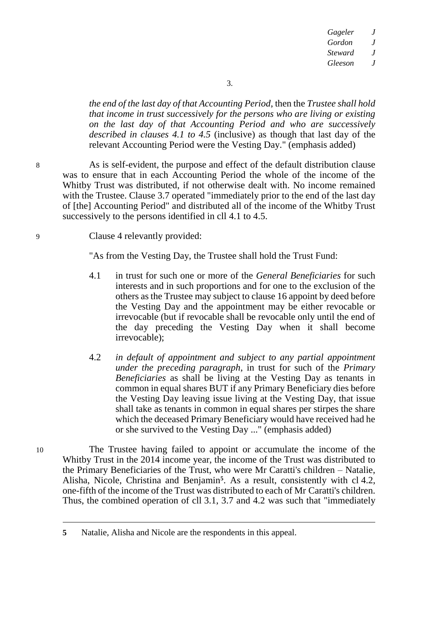*the end of the last day of that Accounting Period*, then the *Trustee shall hold that income in trust successively for the persons who are living or existing on the last day of that Accounting Period and who are successively described in clauses 4.1 to 4.5* (inclusive) as though that last day of the relevant Accounting Period were the Vesting Day." (emphasis added)

8 As is self-evident, the purpose and effect of the default distribution clause was to ensure that in each Accounting Period the whole of the income of the Whitby Trust was distributed, if not otherwise dealt with. No income remained with the Trustee. Clause 3.7 operated "immediately prior to the end of the last day of [the] Accounting Period" and distributed all of the income of the Whitby Trust successively to the persons identified in cll 4.1 to 4.5.

9 Clause 4 relevantly provided:

"As from the Vesting Day, the Trustee shall hold the Trust Fund:

- 4.1 in trust for such one or more of the *General Beneficiaries* for such interests and in such proportions and for one to the exclusion of the others as the Trustee may subject to clause 16 appoint by deed before the Vesting Day and the appointment may be either revocable or irrevocable (but if revocable shall be revocable only until the end of the day preceding the Vesting Day when it shall become irrevocable);
- 4.2 *in default of appointment and subject to any partial appointment under the preceding paragraph*, in trust for such of the *Primary Beneficiaries* as shall be living at the Vesting Day as tenants in common in equal shares BUT if any Primary Beneficiary dies before the Vesting Day leaving issue living at the Vesting Day, that issue shall take as tenants in common in equal shares per stirpes the share which the deceased Primary Beneficiary would have received had he or she survived to the Vesting Day ..." (emphasis added)

10 The Trustee having failed to appoint or accumulate the income of the Whitby Trust in the 2014 income year, the income of the Trust was distributed to the Primary Beneficiaries of the Trust, who were Mr Caratti's children – Natalie, Alisha, Nicole, Christina and Benjamin**<sup>5</sup>** . As a result, consistently with cl 4.2, one-fifth of the income of the Trust was distributed to each of Mr Caratti's children. Thus, the combined operation of cll 3.1, 3.7 and 4.2 was such that "immediately

**<sup>5</sup>** Natalie, Alisha and Nicole are the respondents in this appeal.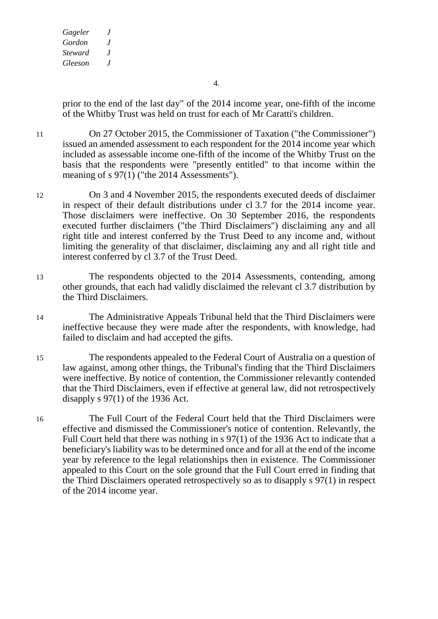4.

prior to the end of the last day" of the 2014 income year, one-fifth of the income of the Whitby Trust was held on trust for each of Mr Caratti's children.

11 On 27 October 2015, the Commissioner of Taxation ("the Commissioner") issued an amended assessment to each respondent for the 2014 income year which included as assessable income one-fifth of the income of the Whitby Trust on the basis that the respondents were "presently entitled" to that income within the meaning of s  $97(1)$  ("the 2014 Assessments").

- 12 On 3 and 4 November 2015, the respondents executed deeds of disclaimer in respect of their default distributions under cl 3.7 for the 2014 income year. Those disclaimers were ineffective. On 30 September 2016, the respondents executed further disclaimers ("the Third Disclaimers") disclaiming any and all right title and interest conferred by the Trust Deed to any income and, without limiting the generality of that disclaimer, disclaiming any and all right title and interest conferred by cl 3.7 of the Trust Deed.
- 13 The respondents objected to the 2014 Assessments, contending, among other grounds, that each had validly disclaimed the relevant cl 3.7 distribution by the Third Disclaimers.
- 14 The Administrative Appeals Tribunal held that the Third Disclaimers were ineffective because they were made after the respondents, with knowledge, had failed to disclaim and had accepted the gifts.
- 15 The respondents appealed to the Federal Court of Australia on a question of law against, among other things, the Tribunal's finding that the Third Disclaimers were ineffective. By notice of contention, the Commissioner relevantly contended that the Third Disclaimers, even if effective at general law, did not retrospectively disapply s 97(1) of the 1936 Act.
- 16 The Full Court of the Federal Court held that the Third Disclaimers were effective and dismissed the Commissioner's notice of contention. Relevantly, the Full Court held that there was nothing in s 97(1) of the 1936 Act to indicate that a beneficiary's liability was to be determined once and for all at the end of the income year by reference to the legal relationships then in existence. The Commissioner appealed to this Court on the sole ground that the Full Court erred in finding that the Third Disclaimers operated retrospectively so as to disapply s 97(1) in respect of the 2014 income year.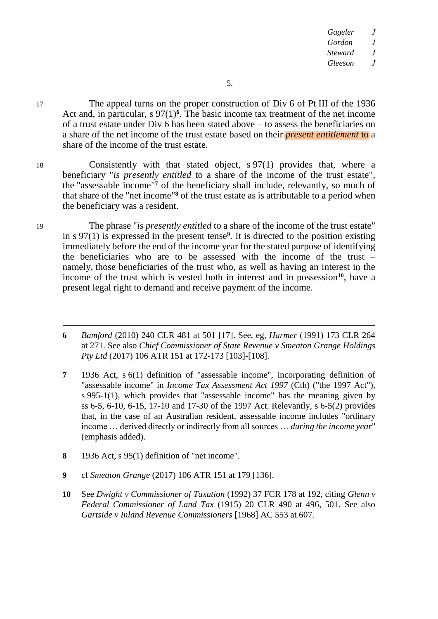17 The appeal turns on the proper construction of Div 6 of Pt III of the 1936 Act and, in particular, s 97(1)<sup>6</sup>. The basic income tax treatment of the net income of a trust estate under Div 6 has been stated above – to assess the beneficiaries on a share of the net income of the trust estate based on their *present entitlement* to a share of the income of the trust estate.

18 Consistently with that stated object, s 97(1) provides that, where a beneficiary "*is presently entitled* to a share of the income of the trust estate", the "assessable income" **<sup>7</sup>** of the beneficiary shall include, relevantly, so much of that share of the "net income" **<sup>8</sup>** of the trust estate as is attributable to a period when the beneficiary was a resident.

19 The phrase "*is presently entitled* to a share of the income of the trust estate" in s 97(1) is expressed in the present tense**<sup>9</sup>** . It is directed to the position existing immediately before the end of the income year for the stated purpose of identifying the beneficiaries who are to be assessed with the income of the trust – namely, those beneficiaries of the trust who, as well as having an interest in the income of the trust which is vested both in interest and in possession**10**, have a present legal right to demand and receive payment of the income.

**6** *Bamford* (2010) 240 CLR 481 at 501 [17]. See, eg, *Harmer* (1991) 173 CLR 264 at 271. See also *Chief Commissioner of State Revenue v Smeaton Grange Holdings Pty Ltd* (2017) 106 ATR 151 at 172-173 [103]-[108].

**7** 1936 Act, s 6(1) definition of "assessable income", incorporating definition of "assessable income" in *Income Tax Assessment Act 1997* (Cth) ("the 1997 Act"), s 995-1(1), which provides that "assessable income" has the meaning given by ss 6-5, 6-10, 6-15, 17-10 and 17-30 of the 1997 Act. Relevantly, s 6-5(2) provides that, in the case of an Australian resident, assessable income includes "ordinary income … derived directly or indirectly from all sources … *during the income year*" (emphasis added).

- **8** 1936 Act, s 95(1) definition of "net income".
- **9** cf *Smeaton Grange* (2017) 106 ATR 151 at 179 [136].
- **10** See *Dwight v Commissioner of Taxation* (1992) 37 FCR 178 at 192, citing *Glenn v Federal Commissioner of Land Tax* (1915) 20 CLR 490 at 496, 501. See also *Gartside v Inland Revenue Commissioners* [1968] AC 553 at 607.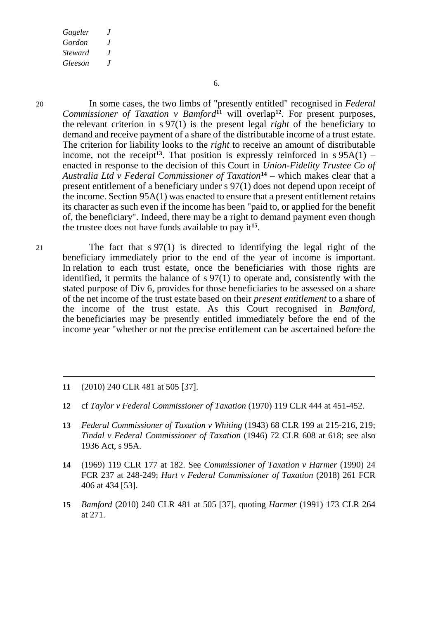6.

20 In some cases, the two limbs of "presently entitled" recognised in *Federal Commissioner of Taxation v Bamford***<sup>11</sup>** will overlap**<sup>12</sup>** . For present purposes, the relevant criterion in s 97(1) is the present legal *right* of the beneficiary to demand and receive payment of a share of the distributable income of a trust estate. The criterion for liability looks to the *right* to receive an amount of distributable income, not the receipt<sup>13</sup>. That position is expressly reinforced in  $s$  95A(1) – enacted in response to the decision of this Court in *Union-Fidelity Trustee Co of Australia Ltd v Federal Commissioner of Taxation***<sup>14</sup>** – which makes clear that a present entitlement of a beneficiary under s 97(1) does not depend upon receipt of the income. Section 95A(1) was enacted to ensure that a present entitlement retains its character as such even if the income has been "paid to, or applied for the benefit of, the beneficiary". Indeed, there may be a right to demand payment even though the trustee does not have funds available to pay it**<sup>15</sup>** .

21 The fact that s 97(1) is directed to identifying the legal right of the beneficiary immediately prior to the end of the year of income is important. In relation to each trust estate, once the beneficiaries with those rights are identified, it permits the balance of s 97(1) to operate and, consistently with the stated purpose of Div 6, provides for those beneficiaries to be assessed on a share of the net income of the trust estate based on their *present entitlement* to a share of the income of the trust estate. As this Court recognised in *Bamford*, the beneficiaries may be presently entitled immediately before the end of the income year "whether or not the precise entitlement can be ascertained before the

**11** (2010) 240 CLR 481 at 505 [37].

- **12** cf *Taylor v Federal Commissioner of Taxation* (1970) 119 CLR 444 at 451-452.
- **13** *Federal Commissioner of Taxation v Whiting* (1943) 68 CLR 199 at 215-216, 219; *Tindal v Federal Commissioner of Taxation* (1946) 72 CLR 608 at 618; see also 1936 Act, s 95A.
- **14** (1969) 119 CLR 177 at 182. See *Commissioner of Taxation v Harmer* (1990) 24 FCR 237 at 248-249; *Hart v Federal Commissioner of Taxation* (2018) 261 FCR 406 at 434 [53].
- **15** *Bamford* (2010) 240 CLR 481 at 505 [37], quoting *Harmer* (1991) 173 CLR 264 at 271.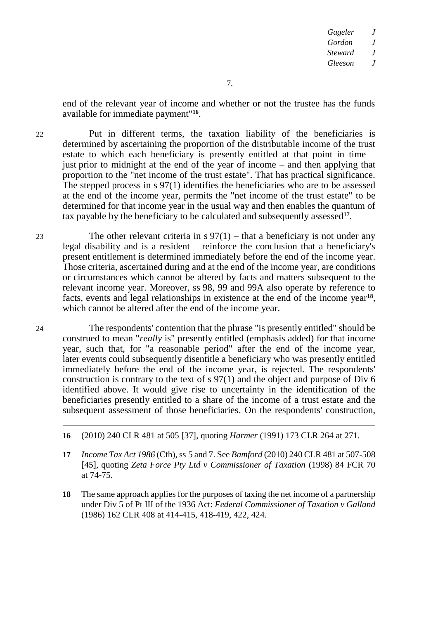end of the relevant year of income and whether or not the trustee has the funds available for immediate payment"**<sup>16</sup>** .

22 Put in different terms, the taxation liability of the beneficiaries is determined by ascertaining the proportion of the distributable income of the trust estate to which each beneficiary is presently entitled at that point in time – just prior to midnight at the end of the year of income – and then applying that proportion to the "net income of the trust estate". That has practical significance. The stepped process in s 97(1) identifies the beneficiaries who are to be assessed at the end of the income year, permits the "net income of the trust estate" to be determined for that income year in the usual way and then enables the quantum of tax payable by the beneficiary to be calculated and subsequently assessed**<sup>17</sup>** .

23 The other relevant criteria in  $s$  97(1) – that a beneficiary is not under any legal disability and is a resident – reinforce the conclusion that a beneficiary's present entitlement is determined immediately before the end of the income year. Those criteria, ascertained during and at the end of the income year, are conditions or circumstances which cannot be altered by facts and matters subsequent to the relevant income year. Moreover, ss 98, 99 and 99A also operate by reference to facts, events and legal relationships in existence at the end of the income year**<sup>18</sup>** , which cannot be altered after the end of the income year.

24 The respondents' contention that the phrase "is presently entitled" should be construed to mean "*really* is" presently entitled (emphasis added) for that income year, such that, for "a reasonable period" after the end of the income year, later events could subsequently disentitle a beneficiary who was presently entitled immediately before the end of the income year, is rejected. The respondents' construction is contrary to the text of s 97(1) and the object and purpose of Div 6 identified above. It would give rise to uncertainty in the identification of the beneficiaries presently entitled to a share of the income of a trust estate and the subsequent assessment of those beneficiaries. On the respondents' construction,

- **16** (2010) 240 CLR 481 at 505 [37], quoting *Harmer* (1991) 173 CLR 264 at 271.
- **17** *Income Tax Act 1986* (Cth),ss 5 and 7. See *Bamford* (2010) 240 CLR 481 at 507-508 [45], quoting *Zeta Force Pty Ltd v Commissioner of Taxation* (1998) 84 FCR 70 at 74-75.
- **18** The same approach applies for the purposes of taxing the net income of a partnership under Div 5 of Pt III of the 1936 Act: *Federal Commissioner of Taxation v Galland* (1986) 162 CLR 408 at 414-415, 418-419, 422, 424.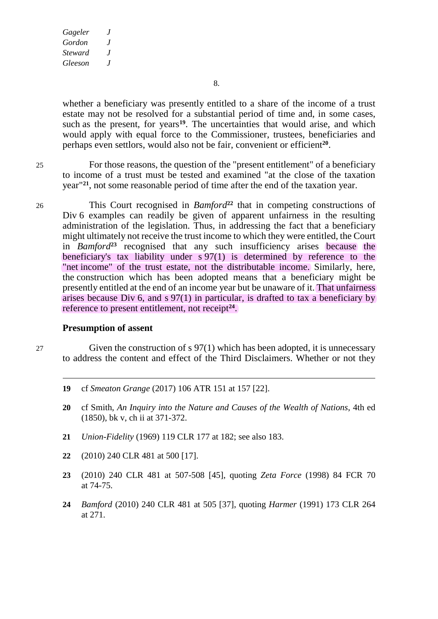8.

whether a beneficiary was presently entitled to a share of the income of a trust estate may not be resolved for a substantial period of time and, in some cases, such as the present, for years**<sup>19</sup>** . The uncertainties that would arise, and which would apply with equal force to the Commissioner, trustees, beneficiaries and perhaps even settlors, would also not be fair, convenient or efficient**<sup>20</sup>** .

25 For those reasons, the question of the "present entitlement" of a beneficiary to income of a trust must be tested and examined "at the close of the taxation year"**<sup>21</sup>** , not some reasonable period of time after the end of the taxation year.

26 This Court recognised in *Bamford***<sup>22</sup>** that in competing constructions of Div 6 examples can readily be given of apparent unfairness in the resulting administration of the legislation. Thus, in addressing the fact that a beneficiary might ultimately not receive the trust income to which they were entitled, the Court in *Bamford***<sup>23</sup>** recognised that any such insufficiency arises because the beneficiary's tax liability under s 97(1) is determined by reference to the "net income" of the trust estate, not the distributable income. Similarly, here, the construction which has been adopted means that a beneficiary might be presently entitled at the end of an income year but be unaware of it. That unfairness arises because Div 6, and s 97(1) in particular, is drafted to tax a beneficiary by reference to present entitlement, not receipt<sup>24</sup>.

#### **Presumption of assent**

27 Given the construction of s 97(1) which has been adopted, it is unnecessary to address the content and effect of the Third Disclaimers. Whether or not they

- **19** cf *Smeaton Grange* (2017) 106 ATR 151 at 157 [22].
- **20** cf Smith, *An Inquiry into the Nature and Causes of the Wealth of Nations*, 4th ed (1850), bk v, ch ii at 371-372.
- **21** *Union-Fidelity* (1969) 119 CLR 177 at 182; see also 183.
- **22** (2010) 240 CLR 481 at 500 [17].
- **23** (2010) 240 CLR 481 at 507-508 [45], quoting *Zeta Force* (1998) 84 FCR 70 at 74-75.
- **24** *Bamford* (2010) 240 CLR 481 at 505 [37], quoting *Harmer* (1991) 173 CLR 264 at 271.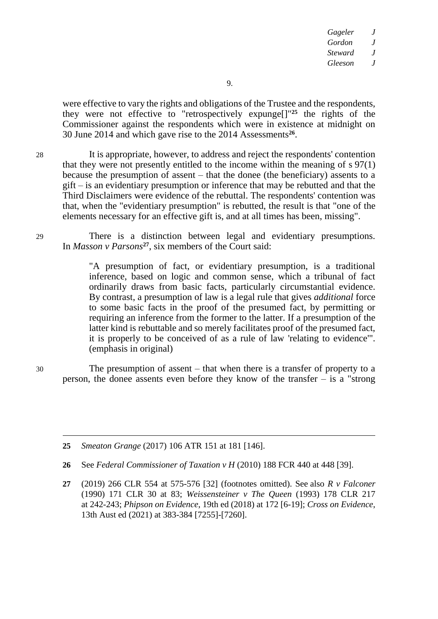were effective to vary the rights and obligations of the Trustee and the respondents, they were not effective to "retrospectively expunge[]" **<sup>25</sup>** the rights of the Commissioner against the respondents which were in existence at midnight on 30 June 2014 and which gave rise to the 2014 Assessments**<sup>26</sup>** .

28 It is appropriate, however, to address and reject the respondents' contention that they were not presently entitled to the income within the meaning of s 97(1) because the presumption of assent – that the donee (the beneficiary) assents to a gift – is an evidentiary presumption or inference that may be rebutted and that the Third Disclaimers were evidence of the rebuttal. The respondents' contention was that, when the "evidentiary presumption" is rebutted, the result is that "one of the elements necessary for an effective gift is, and at all times has been, missing".

29 There is a distinction between legal and evidentiary presumptions. In *Masson v Parsons***<sup>27</sup>** , six members of the Court said:

> "A presumption of fact, or evidentiary presumption, is a traditional inference, based on logic and common sense, which a tribunal of fact ordinarily draws from basic facts, particularly circumstantial evidence. By contrast, a presumption of law is a legal rule that gives *additional* force to some basic facts in the proof of the presumed fact, by permitting or requiring an inference from the former to the latter. If a presumption of the latter kind is rebuttable and so merely facilitates proof of the presumed fact, it is properly to be conceived of as a rule of law 'relating to evidence'". (emphasis in original)

30 The presumption of assent – that when there is a transfer of property to a person, the donee assents even before they know of the transfer – is a "strong

**25** *Smeaton Grange* (2017) 106 ATR 151 at 181 [146].

- **26** See *Federal Commissioner of Taxation v H* (2010) 188 FCR 440 at 448 [39].
- **27** (2019) 266 CLR 554 at 575-576 [32] (footnotes omitted). See also *R v Falconer* (1990) 171 CLR 30 at 83; *Weissensteiner v The Queen* (1993) 178 CLR 217 at 242-243; *Phipson on Evidence*, 19th ed (2018) at 172 [6-19]; *Cross on Evidence*, 13th Aust ed (2021) at 383-384 [7255]-[7260].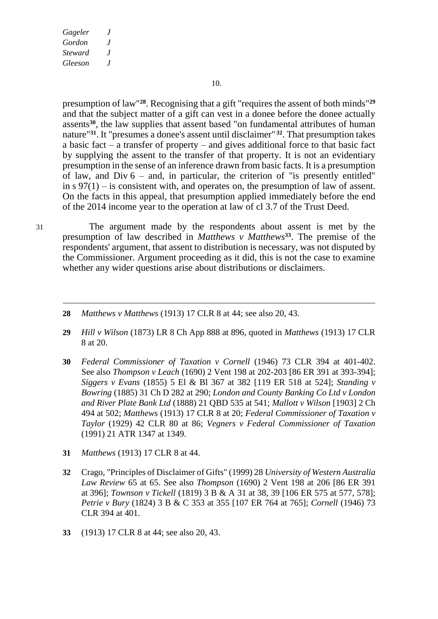10.

presumption of law"**<sup>28</sup>** . Recognising that a gift "requires the assent of both minds"**<sup>29</sup>** and that the subject matter of a gift can vest in a donee before the donee actually assents**30**, the law supplies that assent based "on fundamental attributes of human nature<sup>"31</sup>. It "presumes a donee's assent until disclaimer"<sup>32</sup>. That presumption takes a basic fact  $-\overline{a}$  transfer of property  $-\overline{a}$  and gives additional force to that basic fact by supplying the assent to the transfer of that property. It is not an evidentiary presumption in the sense of an inference drawn from basic facts. It is a presumption of law, and Div  $6 -$  and, in particular, the criterion of "is presently entitled" in  $s \cdot 97(1) - is consistent with, and operates on, the presumption of law of assert.$ On the facts in this appeal, that presumption applied immediately before the end of the 2014 income year to the operation at law of cl 3.7 of the Trust Deed.

-

31 The argument made by the respondents about assent is met by the presumption of law described in *Matthews v Matthews***<sup>33</sup>** . The premise of the respondents' argument, that assent to distribution is necessary, was not disputed by the Commissioner. Argument proceeding as it did, this is not the case to examine whether any wider questions arise about distributions or disclaimers.

- **28** *Matthews v Matthews* (1913) 17 CLR 8 at 44; see also 20, 43.
- **29** *Hill v Wilson* (1873) LR 8 Ch App 888 at 896, quoted in *Matthews* (1913) 17 CLR 8 at 20.
- **30** *Federal Commissioner of Taxation v Cornell* (1946) 73 CLR 394 at 401-402. See also *Thompson v Leach* (1690) 2 Vent 198 at 202-203 [86 ER 391 at 393-394]; *Siggers v Evans* (1855) 5 El & Bl 367 at 382 [119 ER 518 at 524]; *Standing v Bowring* (1885) 31 Ch D 282 at 290; *London and County Banking Co Ltd v London and River Plate Bank Ltd* (1888) 21 QBD 535 at 541; *Mallott v Wilson* [1903] 2 Ch 494 at 502; *Matthews* (1913) 17 CLR 8 at 20; *Federal Commissioner of Taxation v Taylor* (1929) 42 CLR 80 at 86; *Vegners v Federal Commissioner of Taxation* (1991) 21 ATR 1347 at 1349.
- **31** *Matthews* (1913) 17 CLR 8 at 44.
- **32** Crago, "Principles of Disclaimer of Gifts" (1999) 28 *University of Western Australia Law Review* 65 at 65. See also *Thompson* (1690) 2 Vent 198 at 206 [86 ER 391 at 396]; *Townson v Tickell* (1819) 3 B & A 31 at 38, 39 [106 ER 575 at 577, 578]; *Petrie v Bury* (1824) 3 B & C 353 at 355 [107 ER 764 at 765]; *Cornell* (1946) 73 CLR 394 at 401.
- **33** (1913) 17 CLR 8 at 44; see also 20, 43.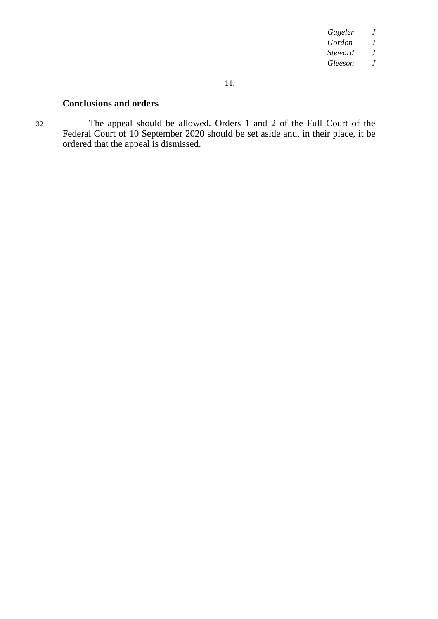#### 11.

# **Conclusions and orders**

32 The appeal should be allowed. Orders 1 and 2 of the Full Court of the Federal Court of 10 September 2020 should be set aside and, in their place, it be ordered that the appeal is dismissed.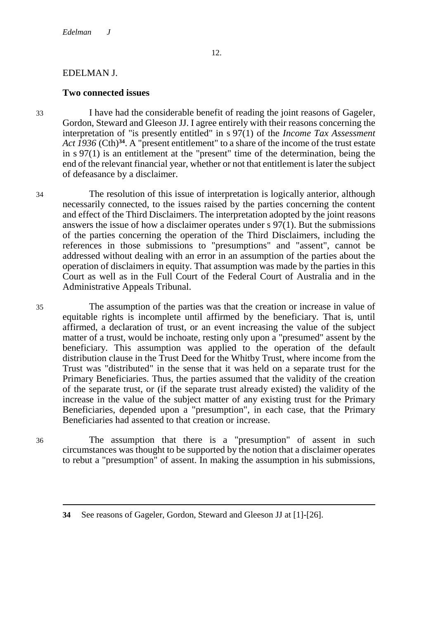## EDELMAN J.

### **Two connected issues**

33 I have had the considerable benefit of reading the joint reasons of Gageler, Gordon, Steward and Gleeson JJ. I agree entirely with their reasons concerning the interpretation of "is presently entitled" in s 97(1) of the *Income Tax Assessment Act 1936* (Cth)**34**. A "present entitlement" to a share of the income of the trust estate in s 97(1) is an entitlement at the "present" time of the determination, being the end of the relevant financial year, whether or not that entitlement is later the subject of defeasance by a disclaimer.

34 The resolution of this issue of interpretation is logically anterior, although necessarily connected, to the issues raised by the parties concerning the content and effect of the Third Disclaimers. The interpretation adopted by the joint reasons answers the issue of how a disclaimer operates under s 97(1). But the submissions of the parties concerning the operation of the Third Disclaimers, including the references in those submissions to "presumptions" and "assent", cannot be addressed without dealing with an error in an assumption of the parties about the operation of disclaimers in equity. That assumption was made by the parties in this Court as well as in the Full Court of the Federal Court of Australia and in the Administrative Appeals Tribunal.

35 The assumption of the parties was that the creation or increase in value of equitable rights is incomplete until affirmed by the beneficiary. That is, until affirmed, a declaration of trust, or an event increasing the value of the subject matter of a trust, would be inchoate, resting only upon a "presumed" assent by the beneficiary. This assumption was applied to the operation of the default distribution clause in the Trust Deed for the Whitby Trust, where income from the Trust was "distributed" in the sense that it was held on a separate trust for the Primary Beneficiaries. Thus, the parties assumed that the validity of the creation of the separate trust, or (if the separate trust already existed) the validity of the increase in the value of the subject matter of any existing trust for the Primary Beneficiaries, depended upon a "presumption", in each case, that the Primary Beneficiaries had assented to that creation or increase.

36 The assumption that there is a "presumption" of assent in such circumstances was thought to be supported by the notion that a disclaimer operates to rebut a "presumption" of assent. In making the assumption in his submissions,

**<sup>34</sup>** See reasons of Gageler, Gordon, Steward and Gleeson JJ at [1]-[26].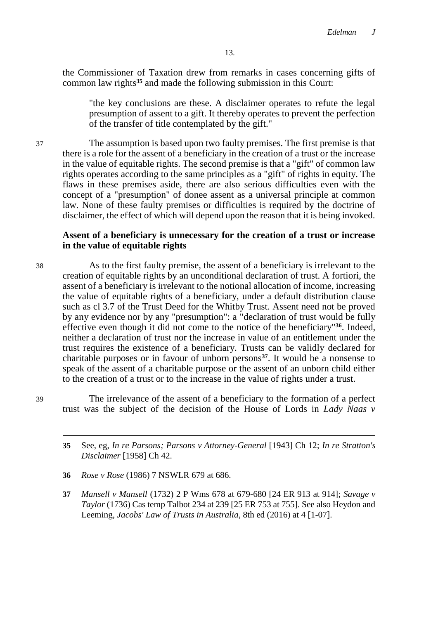the Commissioner of Taxation drew from remarks in cases concerning gifts of common law rights**<sup>35</sup>** and made the following submission in this Court:

"the key conclusions are these. A disclaimer operates to refute the legal presumption of assent to a gift. It thereby operates to prevent the perfection of the transfer of title contemplated by the gift."

37 The assumption is based upon two faulty premises. The first premise is that there is a role for the assent of a beneficiary in the creation of a trust or the increase in the value of equitable rights. The second premise is that a "gift" of common law rights operates according to the same principles as a "gift" of rights in equity. The flaws in these premises aside, there are also serious difficulties even with the concept of a "presumption" of donee assent as a universal principle at common law. None of these faulty premises or difficulties is required by the doctrine of disclaimer, the effect of which will depend upon the reason that it is being invoked.

### **Assent of a beneficiary is unnecessary for the creation of a trust or increase in the value of equitable rights**

38 As to the first faulty premise, the assent of a beneficiary is irrelevant to the creation of equitable rights by an unconditional declaration of trust. A fortiori, the assent of a beneficiary is irrelevant to the notional allocation of income, increasing the value of equitable rights of a beneficiary, under a default distribution clause such as cl 3.7 of the Trust Deed for the Whitby Trust. Assent need not be proved by any evidence nor by any "presumption": a "declaration of trust would be fully effective even though it did not come to the notice of the beneficiary"**36**. Indeed, neither a declaration of trust nor the increase in value of an entitlement under the trust requires the existence of a beneficiary. Trusts can be validly declared for charitable purposes or in favour of unborn persons**37**. It would be a nonsense to speak of the assent of a charitable purpose or the assent of an unborn child either to the creation of a trust or to the increase in the value of rights under a trust.

-

39 The irrelevance of the assent of a beneficiary to the formation of a perfect trust was the subject of the decision of the House of Lords in *Lady Naas v* 

- **36** *Rose v Rose* (1986) 7 NSWLR 679 at 686.
- **37** *Mansell v Mansell* (1732) 2 P Wms 678 at 679-680 [24 ER 913 at 914]; *Savage v Taylor* (1736) Cas temp Talbot 234 at 239 [25 ER 753 at 755]. See also Heydon and Leeming, *Jacobs' Law of Trusts in Australia*, 8th ed (2016) at 4 [1-07].

**<sup>35</sup>** See, eg, *In re Parsons; Parsons v Attorney-General* [1943] Ch 12; *In re Stratton's Disclaimer* [1958] Ch 42.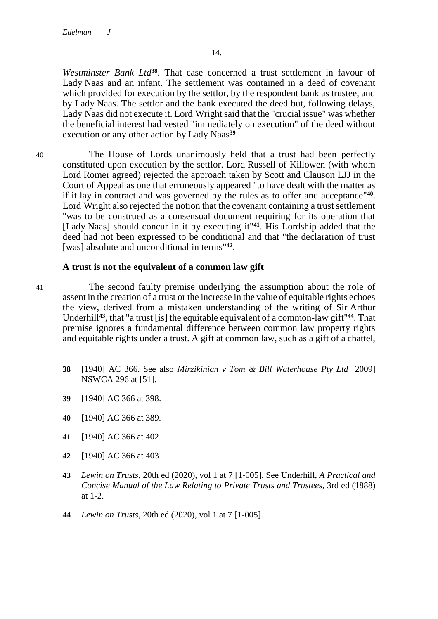*Westminster Bank Ltd***38**. That case concerned a trust settlement in favour of Lady Naas and an infant. The settlement was contained in a deed of covenant which provided for execution by the settlor, by the respondent bank as trustee, and by Lady Naas. The settlor and the bank executed the deed but, following delays, Lady Naas did not execute it. Lord Wright said that the "crucial issue" was whether the beneficial interest had vested "immediately on execution" of the deed without execution or any other action by Lady Naas**<sup>39</sup>** .

40 The House of Lords unanimously held that a trust had been perfectly constituted upon execution by the settlor. Lord Russell of Killowen (with whom Lord Romer agreed) rejected the approach taken by Scott and Clauson LJJ in the Court of Appeal as one that erroneously appeared "to have dealt with the matter as if it lay in contract and was governed by the rules as to offer and acceptance"**<sup>40</sup>** . Lord Wright also rejected the notion that the covenant containing a trust settlement "was to be construed as a consensual document requiring for its operation that [Lady Naas] should concur in it by executing it"**41**. His Lordship added that the deed had not been expressed to be conditional and that "the declaration of trust [was] absolute and unconditional in terms"**<sup>42</sup>** .

## **A trust is not the equivalent of a common law gift**

- 41 The second faulty premise underlying the assumption about the role of assent in the creation of a trust or the increase in the value of equitable rights echoes the view, derived from a mistaken understanding of the writing of Sir Arthur Underhill**43**, that "a trust [is] the equitable equivalent of a common-law gift"**44**. That premise ignores a fundamental difference between common law property rights and equitable rights under a trust. A gift at common law, such as a gift of a chattel,
	- **38** [1940] AC 366. See also *Mirzikinian v Tom & Bill Waterhouse Pty Ltd* [2009] NSWCA 296 at [51].
	- **39** [1940] AC 366 at 398.

- **40** [1940] AC 366 at 389.
- **41** [1940] AC 366 at 402.
- **42** [1940] AC 366 at 403.
- **43** *Lewin on Trusts*, 20th ed (2020), vol 1 at 7 [1-005]. See Underhill, *A Practical and Concise Manual of the Law Relating to Private Trusts and Trustees*, 3rd ed (1888) at 1-2.
- **44** *Lewin on Trusts*, 20th ed (2020), vol 1 at 7 [1-005].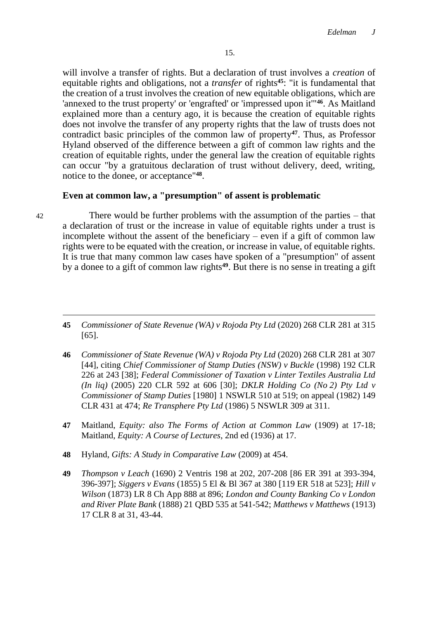will involve a transfer of rights. But a declaration of trust involves a *creation* of equitable rights and obligations, not a *transfer* of rights**45**: "it is fundamental that the creation of a trust involves the creation of new equitable obligations, which are 'annexed to the trust property' or 'engrafted' or 'impressed upon it'"**46**. As Maitland explained more than a century ago, it is because the creation of equitable rights does not involve the transfer of any property rights that the law of trusts does not contradict basic principles of the common law of property**47**. Thus, as Professor Hyland observed of the difference between a gift of common law rights and the creation of equitable rights, under the general law the creation of equitable rights can occur "by a gratuitous declaration of trust without delivery, deed, writing, notice to the donee, or acceptance"**<sup>48</sup>** .

### **Even at common law, a "presumption" of assent is problematic**

-

42 There would be further problems with the assumption of the parties – that a declaration of trust or the increase in value of equitable rights under a trust is incomplete without the assent of the beneficiary – even if a gift of common law rights were to be equated with the creation, or increase in value, of equitable rights. It is true that many common law cases have spoken of a "presumption" of assent by a donee to a gift of common law rights**49**. But there is no sense in treating a gift

- **45** *Commissioner of State Revenue (WA) v Rojoda Pty Ltd* (2020) 268 CLR 281 at 315 [65].
- **46** *Commissioner of State Revenue (WA) v Rojoda Pty Ltd* (2020) 268 CLR 281 at 307 [44], citing *Chief Commissioner of Stamp Duties (NSW) v Buckle* (1998) 192 CLR 226 at 243 [38]; *Federal Commissioner of Taxation v Linter Textiles Australia Ltd (In liq)* (2005) 220 CLR 592 at 606 [30]; *DKLR Holding Co (No 2) Pty Ltd v Commissioner of Stamp Duties* [1980] 1 NSWLR 510 at 519; on appeal (1982) 149 CLR 431 at 474; *Re Transphere Pty Ltd* (1986) 5 NSWLR 309 at 311.
- **47** Maitland, *Equity: also The Forms of Action at Common Law* (1909) at 17-18; Maitland, *Equity: A Course of Lectures*, 2nd ed (1936) at 17.
- **48** Hyland, *Gifts: A Study in Comparative Law* (2009) at 454.
- **49** *Thompson v Leach* (1690) 2 Ventris 198 at 202, 207-208 [86 ER 391 at 393-394, 396-397]; *Siggers v Evans* (1855) 5 El & Bl 367 at 380 [119 ER 518 at 523]; *Hill v Wilson* (1873) LR 8 Ch App 888 at 896; *London and County Banking Co v London and River Plate Bank* (1888) 21 QBD 535 at 541-542; *Matthews v Matthews* (1913) 17 CLR 8 at 31, 43-44.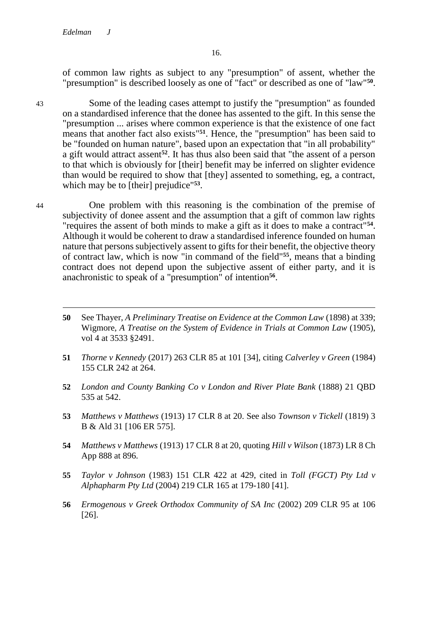of common law rights as subject to any "presumption" of assent, whether the "presumption" is described loosely as one of "fact" or described as one of "law"**<sup>50</sup>** .

43 Some of the leading cases attempt to justify the "presumption" as founded on a standardised inference that the donee has assented to the gift. In this sense the "presumption ... arises where common experience is that the existence of one fact means that another fact also exists"**51**. Hence, the "presumption" has been said to be "founded on human nature", based upon an expectation that "in all probability" a gift would attract assent**52**. It has thus also been said that "the assent of a person to that which is obviously for [their] benefit may be inferred on slighter evidence than would be required to show that [they] assented to something, eg, a contract, which may be to [their] prejudice"**<sup>53</sup>** .

44 One problem with this reasoning is the combination of the premise of subjectivity of donee assent and the assumption that a gift of common law rights "requires the assent of both minds to make a gift as it does to make a contract"**<sup>54</sup>** . Although it would be coherent to draw a standardised inference founded on human nature that persons subjectively assent to gifts for their benefit, the objective theory of contract law, which is now "in command of the field"**55**, means that a binding contract does not depend upon the subjective assent of either party, and it is anachronistic to speak of a "presumption" of intention<sup>56</sup>.

- **50** See Thayer, *A Preliminary Treatise on Evidence at the Common Law* (1898) at 339; Wigmore, *A Treatise on the System of Evidence in Trials at Common Law* (1905), vol 4 at 3533 §2491.
- **51** *Thorne v Kennedy* (2017) 263 CLR 85 at 101 [34], citing *Calverley v Green* (1984) 155 CLR 242 at 264.
- **52** *London and County Banking Co v London and River Plate Bank* (1888) 21 QBD 535 at 542.
- **53** *Matthews v Matthews* (1913) 17 CLR 8 at 20. See also *Townson v Tickell* (1819) 3 B & Ald 31 [106 ER 575].
- **54** *Matthews v Matthews* (1913) 17 CLR 8 at 20, quoting *Hill v Wilson* (1873) LR 8 Ch App 888 at 896.
- **55** *Taylor v Johnson* (1983) 151 CLR 422 at 429, cited in *Toll (FGCT) Pty Ltd v Alphapharm Pty Ltd* (2004) 219 CLR 165 at 179-180 [41].
- **56** *Ermogenous v Greek Orthodox Community of SA Inc* (2002) 209 CLR 95 at 106 [26].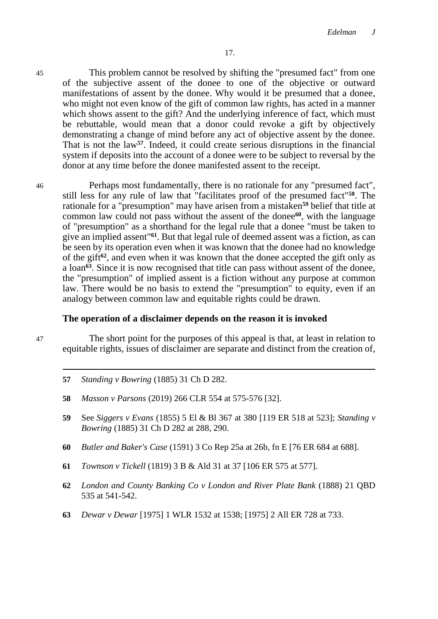45 This problem cannot be resolved by shifting the "presumed fact" from one of the subjective assent of the donee to one of the objective or outward manifestations of assent by the donee. Why would it be presumed that a donee, who might not even know of the gift of common law rights, has acted in a manner which shows assent to the gift? And the underlying inference of fact, which must be rebuttable, would mean that a donor could revoke a gift by objectively demonstrating a change of mind before any act of objective assent by the donee. That is not the law**57**. Indeed, it could create serious disruptions in the financial system if deposits into the account of a donee were to be subject to reversal by the donor at any time before the donee manifested assent to the receipt.

46 Perhaps most fundamentally, there is no rationale for any "presumed fact", still less for any rule of law that "facilitates proof of the presumed fact"**58**. The rationale for a "presumption" may have arisen from a mistaken**<sup>59</sup>** belief that title at common law could not pass without the assent of the donee**60**, with the language of "presumption" as a shorthand for the legal rule that a donee "must be taken to give an implied assent"**61**. But that legal rule of deemed assent was a fiction, as can be seen by its operation even when it was known that the donee had no knowledge of the gift**62**, and even when it was known that the donee accepted the gift only as a loan**63**. Since it is now recognised that title can pass without assent of the donee, the "presumption" of implied assent is a fiction without any purpose at common law. There would be no basis to extend the "presumption" to equity, even if an analogy between common law and equitable rights could be drawn.

#### **The operation of a disclaimer depends on the reason it is invoked**

-

47 The short point for the purposes of this appeal is that, at least in relation to equitable rights, issues of disclaimer are separate and distinct from the creation of,

- **57** *Standing v Bowring* (1885) 31 Ch D 282.
- **58** *Masson v Parsons* (2019) 266 CLR 554 at 575-576 [32].
- **59** See *Siggers v Evans* (1855) 5 El & Bl 367 at 380 [119 ER 518 at 523]; *Standing v Bowring* (1885) 31 Ch D 282 at 288, 290.
- **60** *Butler and Baker's Case* (1591) 3 Co Rep 25a at 26b, fn E [76 ER 684 at 688].
- **61** *Townson v Tickell* (1819) 3 B & Ald 31 at 37 [106 ER 575 at 577].
- **62** *London and County Banking Co v London and River Plate Bank* (1888) 21 QBD 535 at 541-542.
- **63** *Dewar v Dewar* [1975] 1 WLR 1532 at 1538; [1975] 2 All ER 728 at 733.